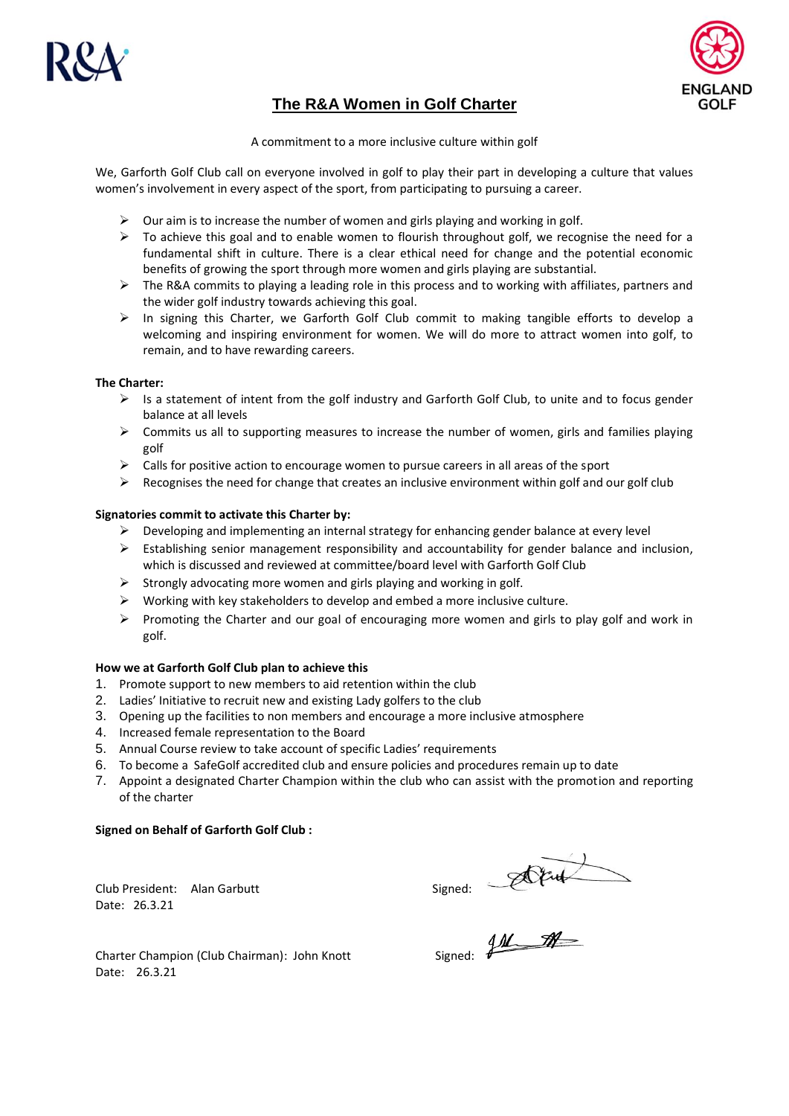



# **The R&A Women in Golf Charter**

A commitment to a more inclusive culture within golf

We, Garforth Golf Club call on everyone involved in golf to play their part in developing a culture that values women's involvement in every aspect of the sport, from participating to pursuing a career.

- $\triangleright$  Our aim is to increase the number of women and girls playing and working in golf.
- $\triangleright$  To achieve this goal and to enable women to flourish throughout golf, we recognise the need for a fundamental shift in culture. There is a clear ethical need for change and the potential economic benefits of growing the sport through more women and girls playing are substantial.
- $\triangleright$  The R&A commits to playing a leading role in this process and to working with affiliates, partners and the wider golf industry towards achieving this goal.
- In signing this Charter, we Garforth Golf Club commit to making tangible efforts to develop a welcoming and inspiring environment for women. We will do more to attract women into golf, to remain, and to have rewarding careers.

## **The Charter:**

- $\triangleright$  Is a statement of intent from the golf industry and Garforth Golf Club, to unite and to focus gender balance at all levels
- $\triangleright$  Commits us all to supporting measures to increase the number of women, girls and families playing golf
- $\triangleright$  Calls for positive action to encourage women to pursue careers in all areas of the sport
- $\triangleright$  Recognises the need for change that creates an inclusive environment within golf and our golf club

## **Signatories commit to activate this Charter by:**

- $\triangleright$  Developing and implementing an internal strategy for enhancing gender balance at every level
- $\triangleright$  Establishing senior management responsibility and accountability for gender balance and inclusion, which is discussed and reviewed at committee/board level with Garforth Golf Club
- $\triangleright$  Strongly advocating more women and girls playing and working in golf.
- $\triangleright$  Working with key stakeholders to develop and embed a more inclusive culture.
- $\triangleright$  Promoting the Charter and our goal of encouraging more women and girls to play golf and work in golf.

## **How we at Garforth Golf Club plan to achieve this**

- 1. Promote support to new members to aid retention within the club
- 2. Ladies' Initiative to recruit new and existing Lady golfers to the club
- 3. Opening up the facilities to non members and encourage a more inclusive atmosphere
- 4. Increased female representation to the Board
- 5. Annual Course review to take account of specific Ladies' requirements
- 6. To become a SafeGolf accredited club and ensure policies and procedures remain up to date
- 7. Appoint a designated Charter Champion within the club who can assist with the promotion and reporting of the charter

## **Signed on Behalf of Garforth Golf Club :**

Club President: Alan Garbutt<br>Date: 26.3.21<br>Charter Champion (Club Chairman): John Westing (Club Chairman): John Westing (Club Chairman): John Westing (Club Chairman): John Westing (Club Chairman): John Westing (Club Chairm

Date: 26.3.21

Charter Champion (Club Chairman): John Knott Date: 26.3.21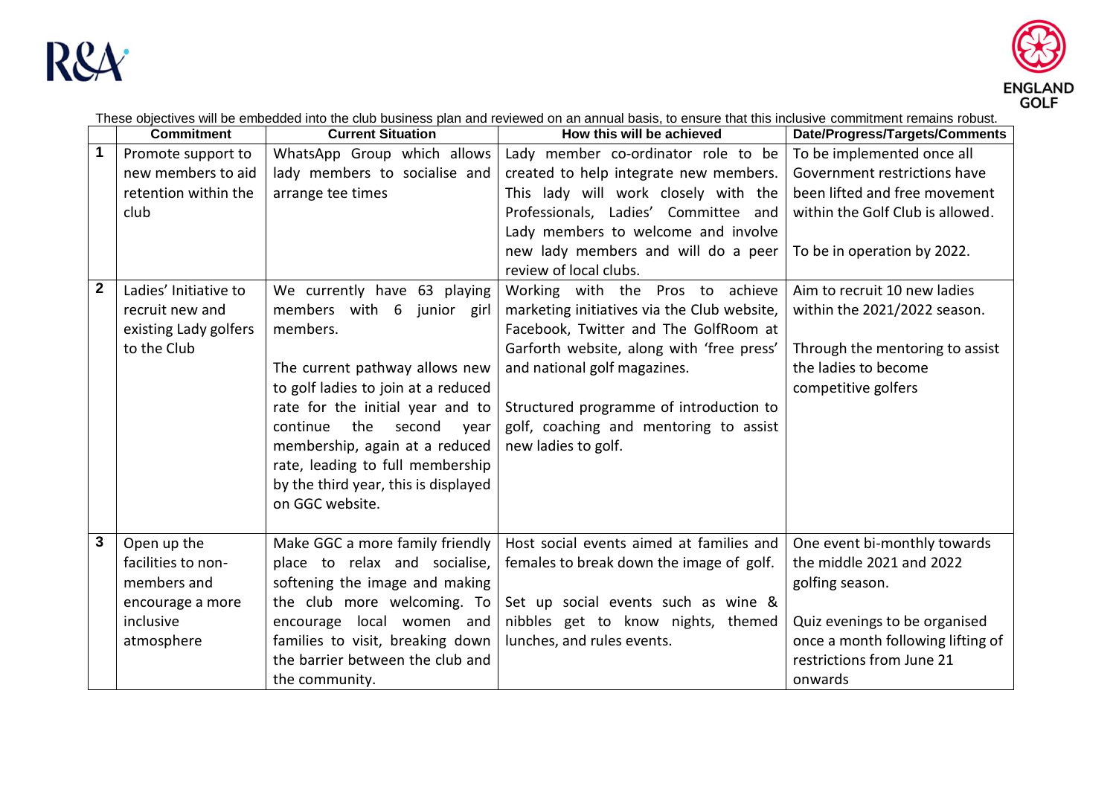



|              |                       |                                      | These objectives will be embedded into the club business plan and reviewed on an annual basis, to ensure that this inclusive commitment remains robust. |                                   |
|--------------|-----------------------|--------------------------------------|---------------------------------------------------------------------------------------------------------------------------------------------------------|-----------------------------------|
|              | <b>Commitment</b>     | <b>Current Situation</b>             | How this will be achieved                                                                                                                               | Date/Progress/Targets/Comments    |
| 1            | Promote support to    | WhatsApp Group which allows          | Lady member co-ordinator role to be                                                                                                                     | To be implemented once all        |
|              | new members to aid    | lady members to socialise and        | created to help integrate new members.                                                                                                                  | Government restrictions have      |
|              | retention within the  | arrange tee times                    | This lady will work closely with the                                                                                                                    | been lifted and free movement     |
|              | club                  |                                      | Professionals, Ladies' Committee and                                                                                                                    | within the Golf Club is allowed.  |
|              |                       |                                      | Lady members to welcome and involve                                                                                                                     |                                   |
|              |                       |                                      | new lady members and will do a peer                                                                                                                     | To be in operation by 2022.       |
|              |                       |                                      | review of local clubs.                                                                                                                                  |                                   |
| $\mathbf{2}$ | Ladies' Initiative to | We currently have 63 playing         | Working with the Pros to achieve                                                                                                                        | Aim to recruit 10 new ladies      |
|              | recruit new and       | members with 6 junior girl           | marketing initiatives via the Club website,                                                                                                             | within the 2021/2022 season.      |
|              | existing Lady golfers | members.                             | Facebook, Twitter and The GolfRoom at                                                                                                                   |                                   |
|              | to the Club           |                                      | Garforth website, along with 'free press'                                                                                                               | Through the mentoring to assist   |
|              |                       | The current pathway allows new       | and national golf magazines.                                                                                                                            | the ladies to become              |
|              |                       | to golf ladies to join at a reduced  |                                                                                                                                                         | competitive golfers               |
|              |                       | rate for the initial year and to     | Structured programme of introduction to                                                                                                                 |                                   |
|              |                       | continue<br>the<br>second<br>year    | golf, coaching and mentoring to assist                                                                                                                  |                                   |
|              |                       | membership, again at a reduced       | new ladies to golf.                                                                                                                                     |                                   |
|              |                       | rate, leading to full membership     |                                                                                                                                                         |                                   |
|              |                       | by the third year, this is displayed |                                                                                                                                                         |                                   |
|              |                       | on GGC website.                      |                                                                                                                                                         |                                   |
|              |                       |                                      |                                                                                                                                                         |                                   |
| 3            | Open up the           | Make GGC a more family friendly      | Host social events aimed at families and                                                                                                                | One event bi-monthly towards      |
|              | facilities to non-    | place to relax and socialise,        | females to break down the image of golf.                                                                                                                | the middle 2021 and 2022          |
|              | members and           | softening the image and making       |                                                                                                                                                         | golfing season.                   |
|              | encourage a more      | the club more welcoming. To          | Set up social events such as wine &                                                                                                                     |                                   |
|              | inclusive             | encourage local women and            | nibbles get to know nights, themed                                                                                                                      | Quiz evenings to be organised     |
|              | atmosphere            | families to visit, breaking down     | lunches, and rules events.                                                                                                                              | once a month following lifting of |
|              |                       | the barrier between the club and     |                                                                                                                                                         | restrictions from June 21         |
|              |                       | the community.                       |                                                                                                                                                         | onwards                           |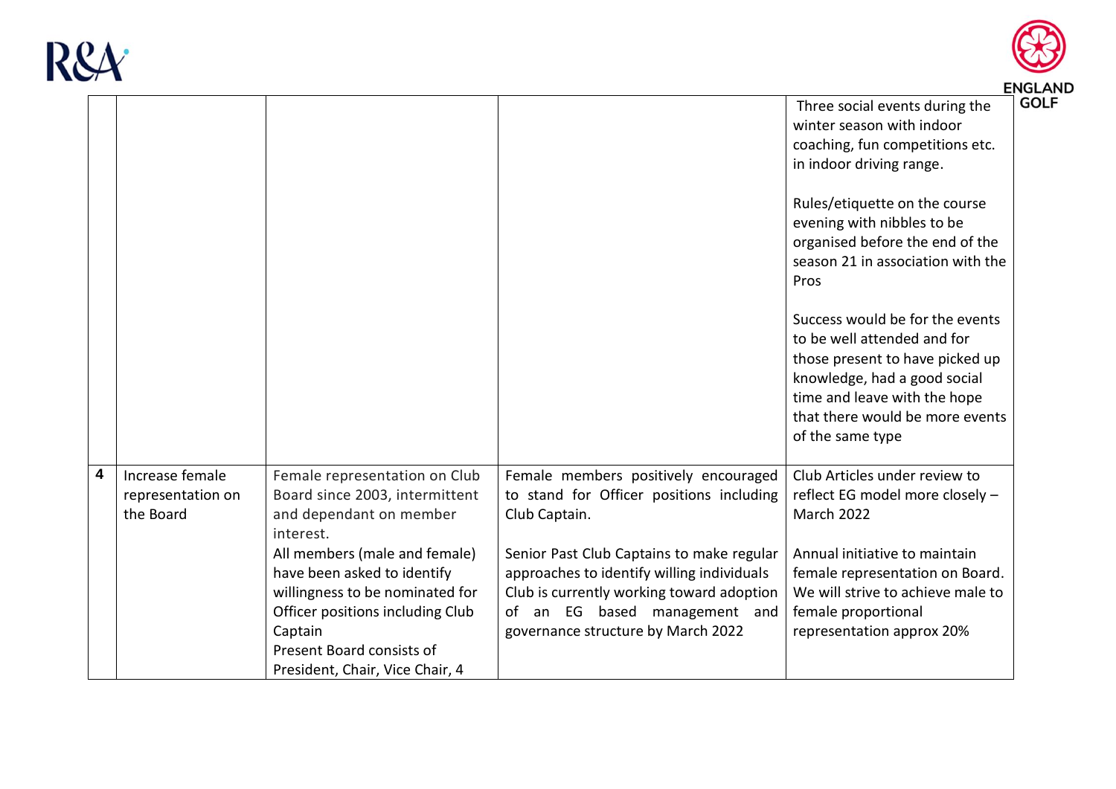



|   |                                                   |                                                                                                                                                                                                                                                                                                                           |                                                                                                                                                                                                                                                                                                                  | EN                                                                                                                                                                                                                                                 |
|---|---------------------------------------------------|---------------------------------------------------------------------------------------------------------------------------------------------------------------------------------------------------------------------------------------------------------------------------------------------------------------------------|------------------------------------------------------------------------------------------------------------------------------------------------------------------------------------------------------------------------------------------------------------------------------------------------------------------|----------------------------------------------------------------------------------------------------------------------------------------------------------------------------------------------------------------------------------------------------|
|   |                                                   |                                                                                                                                                                                                                                                                                                                           |                                                                                                                                                                                                                                                                                                                  | Three social events during the<br>winter season with indoor<br>coaching, fun competitions etc.<br>in indoor driving range.                                                                                                                         |
|   |                                                   |                                                                                                                                                                                                                                                                                                                           |                                                                                                                                                                                                                                                                                                                  | Rules/etiquette on the course<br>evening with nibbles to be<br>organised before the end of the<br>season 21 in association with the<br>Pros                                                                                                        |
|   |                                                   |                                                                                                                                                                                                                                                                                                                           |                                                                                                                                                                                                                                                                                                                  | Success would be for the events<br>to be well attended and for<br>those present to have picked up<br>knowledge, had a good social<br>time and leave with the hope<br>that there would be more events<br>of the same type                           |
| 4 | Increase female<br>representation on<br>the Board | Female representation on Club<br>Board since 2003, intermittent<br>and dependant on member<br>interest.<br>All members (male and female)<br>have been asked to identify<br>willingness to be nominated for<br>Officer positions including Club<br>Captain<br>Present Board consists of<br>President, Chair, Vice Chair, 4 | Female members positively encouraged<br>to stand for Officer positions including<br>Club Captain.<br>Senior Past Club Captains to make regular<br>approaches to identify willing individuals<br>Club is currently working toward adoption<br>of an EG based management and<br>governance structure by March 2022 | Club Articles under review to<br>reflect EG model more closely -<br><b>March 2022</b><br>Annual initiative to maintain<br>female representation on Board.<br>We will strive to achieve male to<br>female proportional<br>representation approx 20% |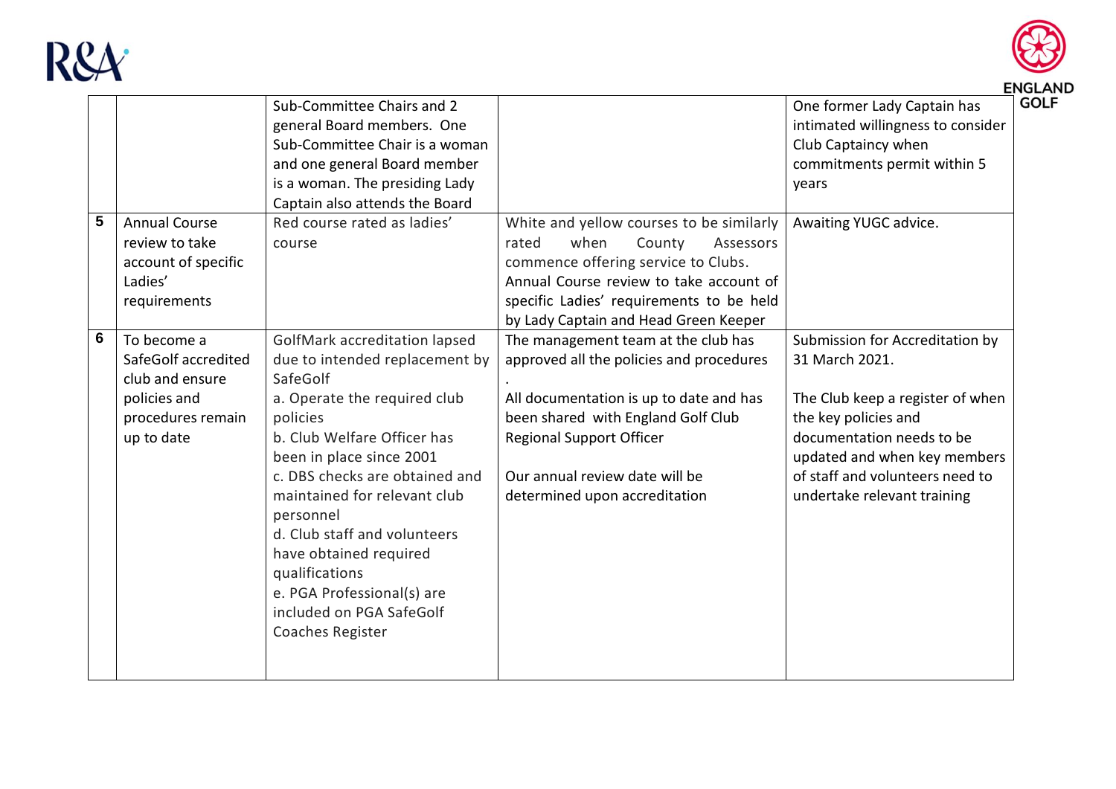



|   |                      |                                |                                          | ᇊ                                 |
|---|----------------------|--------------------------------|------------------------------------------|-----------------------------------|
|   |                      | Sub-Committee Chairs and 2     |                                          | One former Lady Captain has       |
|   |                      | general Board members. One     |                                          | intimated willingness to consider |
|   |                      | Sub-Committee Chair is a woman |                                          | Club Captaincy when               |
|   |                      | and one general Board member   |                                          | commitments permit within 5       |
|   |                      | is a woman. The presiding Lady |                                          | years                             |
|   |                      | Captain also attends the Board |                                          |                                   |
| 5 | <b>Annual Course</b> | Red course rated as ladies'    | White and yellow courses to be similarly | Awaiting YUGC advice.             |
|   | review to take       | course                         | when<br>County<br>Assessors<br>rated     |                                   |
|   | account of specific  |                                | commence offering service to Clubs.      |                                   |
|   | Ladies'              |                                | Annual Course review to take account of  |                                   |
|   | requirements         |                                | specific Ladies' requirements to be held |                                   |
|   |                      |                                | by Lady Captain and Head Green Keeper    |                                   |
| 6 | To become a          | GolfMark accreditation lapsed  | The management team at the club has      | Submission for Accreditation by   |
|   | SafeGolf accredited  | due to intended replacement by | approved all the policies and procedures | 31 March 2021.                    |
|   | club and ensure      | SafeGolf                       |                                          |                                   |
|   | policies and         | a. Operate the required club   | All documentation is up to date and has  | The Club keep a register of when  |
|   | procedures remain    | policies                       | been shared with England Golf Club       | the key policies and              |
|   | up to date           | b. Club Welfare Officer has    | <b>Regional Support Officer</b>          | documentation needs to be         |
|   |                      | been in place since 2001       |                                          | updated and when key members      |
|   |                      | c. DBS checks are obtained and | Our annual review date will be           | of staff and volunteers need to   |
|   |                      | maintained for relevant club   | determined upon accreditation            | undertake relevant training       |
|   |                      | personnel                      |                                          |                                   |
|   |                      | d. Club staff and volunteers   |                                          |                                   |
|   |                      | have obtained required         |                                          |                                   |
|   |                      | qualifications                 |                                          |                                   |
|   |                      | e. PGA Professional(s) are     |                                          |                                   |
|   |                      | included on PGA SafeGolf       |                                          |                                   |
|   |                      |                                |                                          |                                   |
|   |                      | Coaches Register               |                                          |                                   |
|   |                      |                                |                                          |                                   |
|   |                      |                                |                                          |                                   |

ENGLAND<br>GOLF